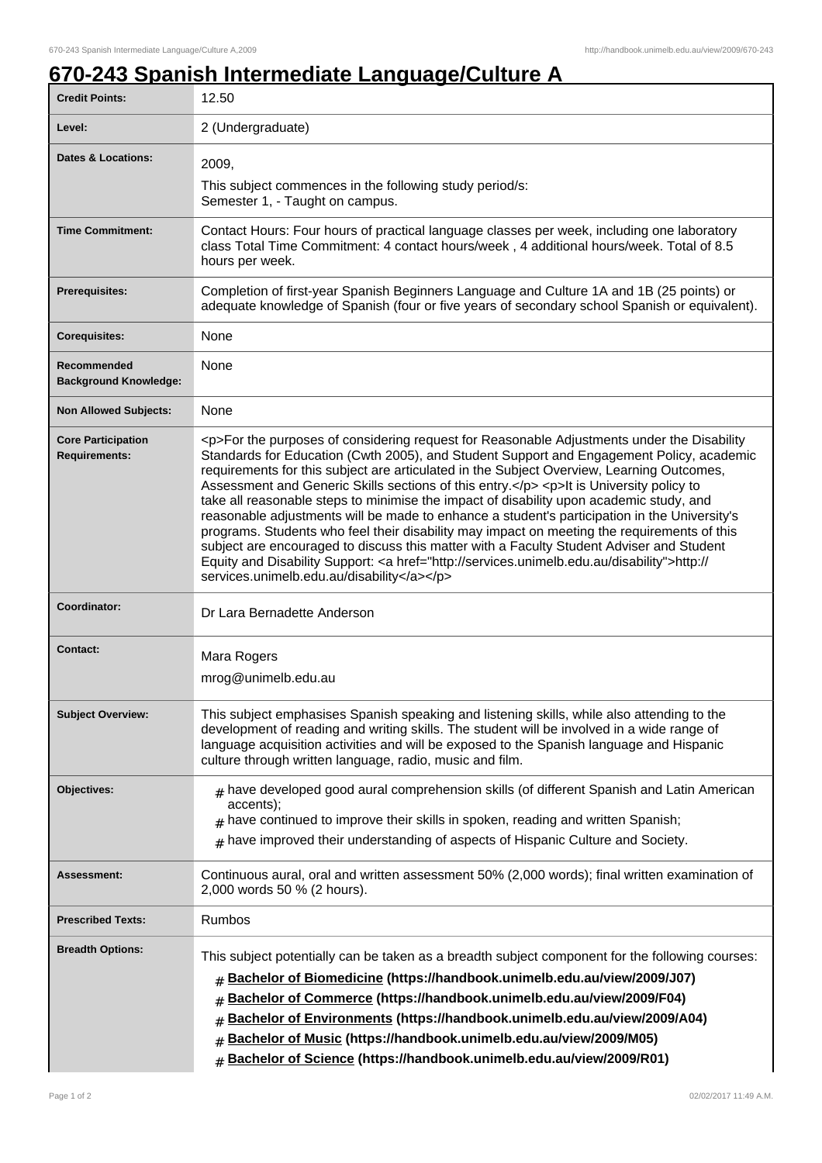٦

## **670-243 Spanish Intermediate Language/Culture A**

| <b>Credit Points:</b>                             | 12.50                                                                                                                                                                                                                                                                                                                                                                                                                                                                                                                                                                                                                                                                                                                                                                                                                                                                                                                        |
|---------------------------------------------------|------------------------------------------------------------------------------------------------------------------------------------------------------------------------------------------------------------------------------------------------------------------------------------------------------------------------------------------------------------------------------------------------------------------------------------------------------------------------------------------------------------------------------------------------------------------------------------------------------------------------------------------------------------------------------------------------------------------------------------------------------------------------------------------------------------------------------------------------------------------------------------------------------------------------------|
| Level:                                            | 2 (Undergraduate)                                                                                                                                                                                                                                                                                                                                                                                                                                                                                                                                                                                                                                                                                                                                                                                                                                                                                                            |
| <b>Dates &amp; Locations:</b>                     | 2009,                                                                                                                                                                                                                                                                                                                                                                                                                                                                                                                                                                                                                                                                                                                                                                                                                                                                                                                        |
|                                                   | This subject commences in the following study period/s:<br>Semester 1, - Taught on campus.                                                                                                                                                                                                                                                                                                                                                                                                                                                                                                                                                                                                                                                                                                                                                                                                                                   |
| <b>Time Commitment:</b>                           | Contact Hours: Four hours of practical language classes per week, including one laboratory<br>class Total Time Commitment: 4 contact hours/week, 4 additional hours/week. Total of 8.5<br>hours per week.                                                                                                                                                                                                                                                                                                                                                                                                                                                                                                                                                                                                                                                                                                                    |
| <b>Prerequisites:</b>                             | Completion of first-year Spanish Beginners Language and Culture 1A and 1B (25 points) or<br>adequate knowledge of Spanish (four or five years of secondary school Spanish or equivalent).                                                                                                                                                                                                                                                                                                                                                                                                                                                                                                                                                                                                                                                                                                                                    |
| <b>Corequisites:</b>                              | None                                                                                                                                                                                                                                                                                                                                                                                                                                                                                                                                                                                                                                                                                                                                                                                                                                                                                                                         |
| Recommended<br><b>Background Knowledge:</b>       | None                                                                                                                                                                                                                                                                                                                                                                                                                                                                                                                                                                                                                                                                                                                                                                                                                                                                                                                         |
| <b>Non Allowed Subjects:</b>                      | None                                                                                                                                                                                                                                                                                                                                                                                                                                                                                                                                                                                                                                                                                                                                                                                                                                                                                                                         |
| <b>Core Participation</b><br><b>Requirements:</b> | <p>For the purposes of considering request for Reasonable Adjustments under the Disability<br/>Standards for Education (Cwth 2005), and Student Support and Engagement Policy, academic<br/>requirements for this subject are articulated in the Subject Overview, Learning Outcomes,<br/>Assessment and Generic Skills sections of this entry.</p> <p>It is University policy to<br/>take all reasonable steps to minimise the impact of disability upon academic study, and<br/>reasonable adjustments will be made to enhance a student's participation in the University's<br/>programs. Students who feel their disability may impact on meeting the requirements of this<br/>subject are encouraged to discuss this matter with a Faculty Student Adviser and Student<br/>Equity and Disability Support: &lt; a href="http://services.unimelb.edu.au/disability"&gt;http://<br/>services.unimelb.edu.au/disability</p> |
| Coordinator:                                      | Dr Lara Bernadette Anderson                                                                                                                                                                                                                                                                                                                                                                                                                                                                                                                                                                                                                                                                                                                                                                                                                                                                                                  |
| <b>Contact:</b>                                   | Mara Rogers<br>mrog@unimelb.edu.au                                                                                                                                                                                                                                                                                                                                                                                                                                                                                                                                                                                                                                                                                                                                                                                                                                                                                           |
| <b>Subject Overview:</b>                          | This subject emphasises Spanish speaking and listening skills, while also attending to the<br>development of reading and writing skills. The student will be involved in a wide range of<br>language acquisition activities and will be exposed to the Spanish language and Hispanic<br>culture through written language, radio, music and film.                                                                                                                                                                                                                                                                                                                                                                                                                                                                                                                                                                             |
| Objectives:                                       | $#$ have developed good aural comprehension skills (of different Spanish and Latin American<br>accents);<br>$*$ have continued to improve their skills in spoken, reading and written Spanish;<br>have improved their understanding of aspects of Hispanic Culture and Society.<br>#                                                                                                                                                                                                                                                                                                                                                                                                                                                                                                                                                                                                                                         |
| <b>Assessment:</b>                                | Continuous aural, oral and written assessment 50% (2,000 words); final written examination of<br>2,000 words 50 % (2 hours).                                                                                                                                                                                                                                                                                                                                                                                                                                                                                                                                                                                                                                                                                                                                                                                                 |
| <b>Prescribed Texts:</b>                          | Rumbos                                                                                                                                                                                                                                                                                                                                                                                                                                                                                                                                                                                                                                                                                                                                                                                                                                                                                                                       |
| <b>Breadth Options:</b>                           | This subject potentially can be taken as a breadth subject component for the following courses:<br>Bachelor of Biomedicine (https://handbook.unimelb.edu.au/view/2009/J07)<br>#<br>Bachelor of Commerce (https://handbook.unimelb.edu.au/view/2009/F04)<br>#<br>Bachelor of Environments (https://handbook.unimelb.edu.au/view/2009/A04)<br>Bachelor of Music (https://handbook.unimelb.edu.au/view/2009/M05)<br>#<br>Bachelor of Science (https://handbook.unimelb.edu.au/view/2009/R01)<br>#                                                                                                                                                                                                                                                                                                                                                                                                                               |